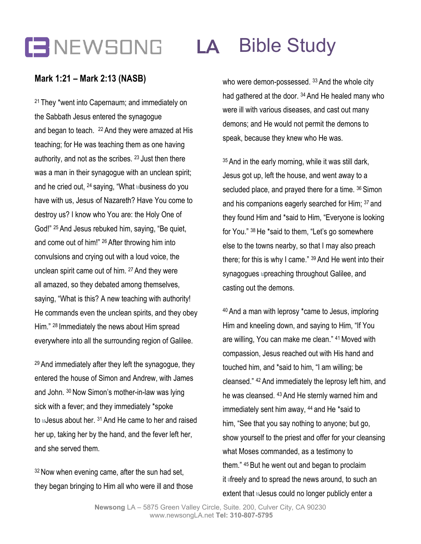## **LA** Bible Study

### **Mark 1:21 – Mark 2:13 (NASB)**

<sup>21</sup> They \*went into Capernaum; and immediately on the Sabbath Jesus entered the synagogue and began to teach. <sup>22</sup> And they were amazed at His teaching; for He was teaching them as one having authority, and not as the scribes. <sup>23</sup> Just then there was a man in their synagogue with an unclean spirit; and he cried out, <sup>24</sup> saying, "What **abusiness do you** have with us, Jesus of Nazareth? Have You come to destroy us? I know who You are: the Holy One of God!" <sup>25</sup> And Jesus rebuked him, saying, "Be quiet, and come out of him!" <sup>26</sup> After throwing him into convulsions and crying out with a loud voice, the unclean spirit came out of him. <sup>27</sup> And they were all amazed, so they debated among themselves, saying, "What is this? A new teaching with authority! He commands even the unclean spirits, and they obey Him." <sup>28</sup> Immediately the news about Him spread everywhere into all the surrounding region of Galilee.

<sup>29</sup> And immediately after they left the synagogue, they entered the house of Simon and Andrew, with James and John. <sup>30</sup> Now Simon's mother-in-law was lying sick with a fever; and they immediately \*spoke to Lesus about her. <sup>31</sup> And He came to her and raised her up, taking her by the hand, and the fever left her, and she served them.

<sup>32</sup> Now when evening came, after the sun had set, they began bringing to Him all who were ill and those who were demon-possessed. 33 And the whole city had gathered at the door.<sup>34</sup> And He healed many who were ill with various diseases, and cast out many demons; and He would not permit the demons to speak, because they knew who He was.

<sup>35</sup> And in the early morning, while it was still dark, Jesus got up, left the house, and went away to a secluded place, and prayed there for a time. 36 Simon and his companions eagerly searched for Him; <sup>37</sup> and they found Him and \*said to Him, "Everyone is looking for You." <sup>38</sup> He \*said to them, "Let's go somewhere else to the towns nearby, so that I may also preach there; for this is why I came." <sup>39</sup> And He went into their synagogues apreaching throughout Galilee, and casting out the demons.

<sup>40</sup> And a man with leprosy \*came to Jesus, imploring Him and kneeling down, and saying to Him, "If You are willing, You can make me clean." <sup>41</sup> Moved with compassion, Jesus reached out with His hand and touched him, and \*said to him, "I am willing; be cleansed." <sup>42</sup> And immediately the leprosy left him, and he was cleansed. <sup>43</sup> And He sternly warned him and immediately sent him away, <sup>44</sup> and He \*said to him, "See that you say nothing to anyone; but go, show yourself to the priest and offer for your cleansing what Moses commanded, as a testimony to them." <sup>45</sup> But he went out and began to proclaim it difreely and to spread the news around, to such an extent that LJesus could no longer publicly enter a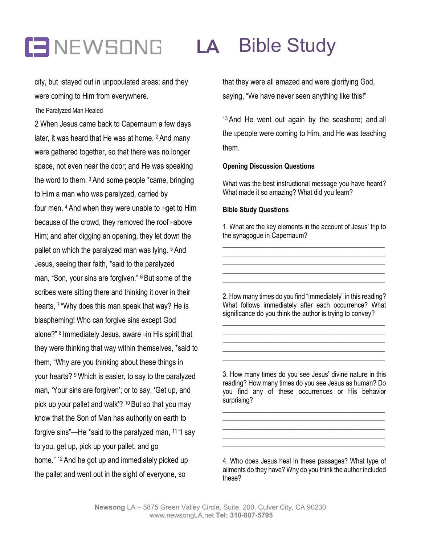# **LA** Bible Study

city, but ustayed out in unpopulated areas; and they were coming to Him from everywhere.

The Paralyzed Man Healed

2 When Jesus came back to Capernaum a few days later, it was heard that He was at home. <sup>2</sup> And many were gathered together, so that there was no longer space, not even near the door; and He was speaking the word to them. <sup>3</sup> And some people \*came, bringing to Him a man who was paralyzed, carried by four men.  $4$  And when they were unable to  $m$ get to Him because of the crowd, they removed the roof above Him; and after digging an opening, they let down the pallet on which the paralyzed man was lying. <sup>5</sup> And Jesus, seeing their faith, \*said to the paralyzed man, "Son, your sins are forgiven." <sup>6</sup> But some of the scribes were sitting there and thinking it over in their hearts, <sup>7</sup> "Why does this man speak that way? He is blaspheming! Who can forgive sins except God alone?" <sup>8</sup> Immediately Jesus, aware **oin His spirit that** they were thinking that way within themselves, \*said to them, "Why are you thinking about these things in your hearts? <sup>9</sup> Which is easier, to say to the paralyzed man, 'Your sins are forgiven'; or to say, 'Get up, and pick up your pallet and walk'? <sup>10</sup> But so that you may know that the Son of Man has authority on earth to forgive sins"—He \*said to the paralyzed man, <sup>11</sup> "I say to you, get up, pick up your pallet, and go home." <sup>12</sup> And he got up and immediately picked up the pallet and went out in the sight of everyone, so

that they were all amazed and were glorifying God, saying, "We have never seen anything like this!"

<sup>13</sup> And He went out again by the seashore; and all the **□**people were coming to Him, and He was teaching them.

#### **Opening Discussion Questions**

What was the best instructional message you have heard? What made it so amazing? What did you learn?

#### **Bible Study Questions**

1. What are the key elements in the account of Jesus' trip to the synagogue in Capernaum? \_\_\_\_\_\_\_\_\_\_\_\_\_\_\_\_\_\_\_\_\_\_\_\_\_\_\_\_\_\_\_\_\_\_\_\_\_\_\_\_\_\_\_\_\_\_\_

\_\_\_\_\_\_\_\_\_\_\_\_\_\_\_\_\_\_\_\_\_\_\_\_\_\_\_\_\_\_\_\_\_\_\_\_\_\_\_\_\_\_\_\_\_\_\_ \_\_\_\_\_\_\_\_\_\_\_\_\_\_\_\_\_\_\_\_\_\_\_\_\_\_\_\_\_\_\_\_\_\_\_\_\_\_\_\_\_\_\_\_\_\_\_ \_\_\_\_\_\_\_\_\_\_\_\_\_\_\_\_\_\_\_\_\_\_\_\_\_\_\_\_\_\_\_\_\_\_\_\_\_\_\_\_\_\_\_\_\_\_\_ \_\_\_\_\_\_\_\_\_\_\_\_\_\_\_\_\_\_\_\_\_\_\_\_\_\_\_\_\_\_\_\_\_\_\_\_\_\_\_\_\_\_\_\_\_\_\_

2. How many times do you find "immediately" in this reading? What follows immediately after each occurrence? What significance do you think the author is trying to convey?

\_\_\_\_\_\_\_\_\_\_\_\_\_\_\_\_\_\_\_\_\_\_\_\_\_\_\_\_\_\_\_\_\_\_\_\_\_\_\_\_\_\_\_\_\_\_\_ \_\_\_\_\_\_\_\_\_\_\_\_\_\_\_\_\_\_\_\_\_\_\_\_\_\_\_\_\_\_\_\_\_\_\_\_\_\_\_\_\_\_\_\_\_\_\_ \_\_\_\_\_\_\_\_\_\_\_\_\_\_\_\_\_\_\_\_\_\_\_\_\_\_\_\_\_\_\_\_\_\_\_\_\_\_\_\_\_\_\_\_\_\_\_ \_\_\_\_\_\_\_\_\_\_\_\_\_\_\_\_\_\_\_\_\_\_\_\_\_\_\_\_\_\_\_\_\_\_\_\_\_\_\_\_\_\_\_\_\_\_\_ \_\_\_\_\_\_\_\_\_\_\_\_\_\_\_\_\_\_\_\_\_\_\_\_\_\_\_\_\_\_\_\_\_\_\_\_\_\_\_\_\_\_\_\_\_\_\_

3. How many times do you see Jesus' divine nature in this reading? How many times do you see Jesus as human? Do you find any of these occurrences or His behavior surprising?

\_\_\_\_\_\_\_\_\_\_\_\_\_\_\_\_\_\_\_\_\_\_\_\_\_\_\_\_\_\_\_\_\_\_\_\_\_\_\_\_\_\_\_\_\_\_\_ \_\_\_\_\_\_\_\_\_\_\_\_\_\_\_\_\_\_\_\_\_\_\_\_\_\_\_\_\_\_\_\_\_\_\_\_\_\_\_\_\_\_\_\_\_\_\_ \_\_\_\_\_\_\_\_\_\_\_\_\_\_\_\_\_\_\_\_\_\_\_\_\_\_\_\_\_\_\_\_\_\_\_\_\_\_\_\_\_\_\_\_\_\_\_ \_\_\_\_\_\_\_\_\_\_\_\_\_\_\_\_\_\_\_\_\_\_\_\_\_\_\_\_\_\_\_\_\_\_\_\_\_\_\_\_\_\_\_\_\_\_\_ \_\_\_\_\_\_\_\_\_\_\_\_\_\_\_\_\_\_\_\_\_\_\_\_\_\_\_\_\_\_\_\_\_\_\_\_\_\_\_\_\_\_\_\_\_\_\_

4. Who does Jesus heal in these passages? What type of ailments do they have? Why do you think the author included these?